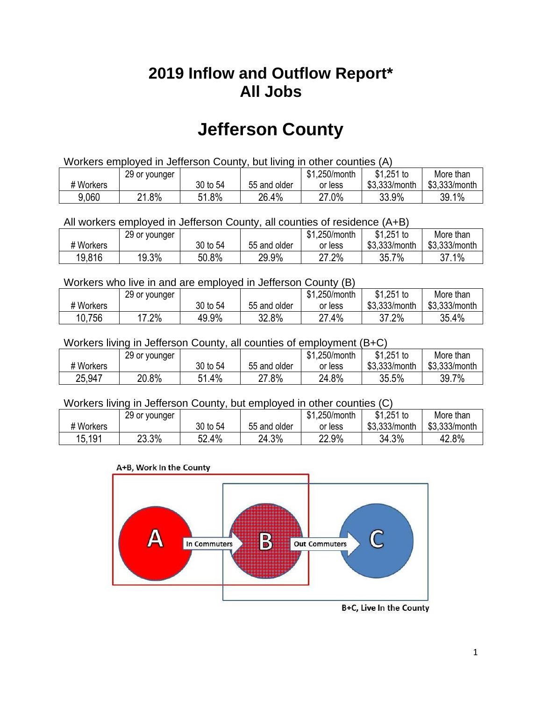## **2019 Inflow and Outflow Report\* All Jobs**

# **Jefferson County**

| Workers employed in Jefferson County, but living in other counties (A) |                                                            |          |              |         |               |               |  |  |  |
|------------------------------------------------------------------------|------------------------------------------------------------|----------|--------------|---------|---------------|---------------|--|--|--|
|                                                                        | $$1,251$ to<br>\$1,250/month<br>More than<br>29 or younger |          |              |         |               |               |  |  |  |
| # Workers                                                              |                                                            | 30 to 54 | 55 and older | or less | \$3.333/month | \$3,333/month |  |  |  |
| 9,060                                                                  | 21.8%                                                      | 51.8%    | 26.4%        | 27.0%   | 33.9%         | 39.1%         |  |  |  |

All workers employed in Jefferson County, all counties of residence (A+B)

|           | 29 or younger |          |              | 1,250/month<br><b>ሰ</b><br>ক। | \$1,251 to    | More than     |
|-----------|---------------|----------|--------------|-------------------------------|---------------|---------------|
| # Workers |               | 30 to 54 | 55 and older | or less                       | \$3,333/month | \$3,333/month |
| 19,816    | 19.3%         | 50.8%    | 29.9%        | 27.2%                         | $7\%$<br>35.7 | 37.1%         |

#### Workers who live in and are employed in Jefferson County (B)

|           | 29 or younger |          |              | \$1,250/month | $$1,251$ to   | More than     |
|-----------|---------------|----------|--------------|---------------|---------------|---------------|
| # Workers |               | 30 to 54 | 55 and older | or less       | \$3,333/month | \$3,333/month |
| 10,756    | 7.2%          | 49.9%    | 32.8%        | $.4\%$<br>דה  | 37.2%         | 35.4%         |

#### Workers living in Jefferson County, all counties of employment (B+C)

|           | 29 or younger |             |              | \$1,250/month | $$1,251$ to   | More than     |
|-----------|---------------|-------------|--------------|---------------|---------------|---------------|
| # Workers |               | 30 to 54    | 55 and older | or less       | \$3,333/month | \$3,333/month |
| 25,947    | 20.8%         | 51.4%<br>51 | 27.8%        | 24.8%         | 35.5%         | 39.7%         |

#### Workers living in Jefferson County, but employed in other counties (C)

|           | 29 or younger |          |              | \$1,250/month | $$1,251$ to   | More than     |
|-----------|---------------|----------|--------------|---------------|---------------|---------------|
| # Workers |               | 30 to 54 | 55 and older | or less       | \$3,333/month | \$3,333/month |
| 15.191    | 23.3%         | 52.4%    | 24.3%        | 22.9%         | 34.3%         | 42.8%         |





B+C, Live In the County